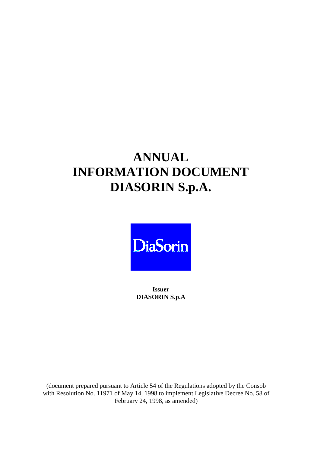## **ANNUAL INFORMATION DOCUMENT DIASORIN S.p.A.**



**Issuer DIASORIN S.p.A**

(document prepared pursuant to Article 54 of the Regulations adopted by the Consob with Resolution No. 11971 of May 14, 1998 to implement Legislative Decree No. 58 of February 24, 1998, as amended)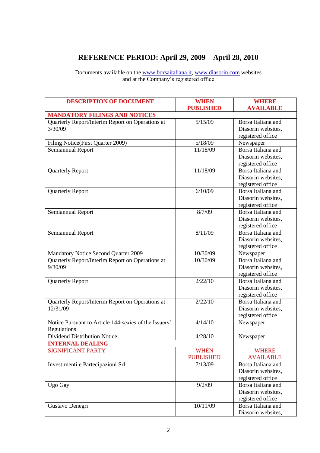## **REFERENCE PERIOD: April 29, 2009 – April 28, 2010**

Documents available on the [www.borsaitaliana.it,](http://www.borsaitaliana.it/) [www.diasorin.com](http://www.diasorin.com/) websites and at the Company's registered office

| <b>DESCRIPTION OF DOCUMENT</b>                        | <b>WHEN</b>      | <b>WHERE</b>       |
|-------------------------------------------------------|------------------|--------------------|
|                                                       | <b>PUBLISHED</b> | <b>AVAILABLE</b>   |
| <b>MANDATORY FILINGS AND NOTICES</b>                  |                  |                    |
| Quarterly Report/Interim Report on Operations at      | 5/15/09          | Borsa Italiana and |
| 3/30/09                                               |                  | Diasorin websites, |
|                                                       |                  | registered office  |
| Filing Notice(First Quarter 2009)                     | 5/18/09          | Newspaper          |
| Semiannual Report                                     | 11/18/09         | Borsa Italiana and |
|                                                       |                  | Diasorin websites, |
|                                                       |                  | registered office  |
| <b>Quarterly Report</b>                               | 11/18/09         | Borsa Italiana and |
|                                                       |                  | Diasorin websites, |
|                                                       |                  | registered office  |
| <b>Quarterly Report</b>                               | 6/10/09          | Borsa Italiana and |
|                                                       |                  | Diasorin websites, |
|                                                       |                  | registered office  |
| Semiannual Report                                     | 8/7/09           | Borsa Italiana and |
|                                                       |                  | Diasorin websites, |
|                                                       |                  | registered office  |
| Semiannual Report                                     | 8/11/09          | Borsa Italiana and |
|                                                       |                  | Diasorin websites, |
|                                                       |                  | registered office  |
| Mandatory Notice Second Quarter 2009                  | 10/30/09         | Newspaper          |
| Quarterly Report/Interim Report on Operations at      | 10/30/09         | Borsa Italiana and |
| 9/30/09                                               |                  | Diasorin websites, |
|                                                       |                  | registered office  |
| <b>Quarterly Report</b>                               | 2/22/10          | Borsa Italiana and |
|                                                       |                  | Diasorin websites, |
|                                                       |                  | registered office  |
| Quarterly Report/Interim Report on Operations at      | 2/22/10          | Borsa Italiana and |
| 12/31/09                                              |                  | Diasorin websites, |
|                                                       |                  |                    |
| Notice Pursuant to Article 144-sexies of the Issuers' | 4/14/10          | registered office  |
|                                                       |                  | Newspaper          |
| Regulations                                           |                  |                    |
| Dividend Distribution Notice                          | 4/28/10          | Newspaper          |
| <b>INTERNAL DEALING</b>                               |                  |                    |
| <b>SIGNIFICANT PARTY</b>                              | <b>WHEN</b>      | <b>WHERE</b>       |
|                                                       | <b>PUBLISHED</b> | <b>AVAILABLE</b>   |
| Investimenti e Partecipazioni Srl                     | 7/13/09          | Borsa Italiana and |
|                                                       |                  | Diasorin websites, |
|                                                       |                  | registered office  |
| Ugo Gay                                               | 9/2/09           | Borsa Italiana and |
|                                                       |                  | Diasorin websites, |
|                                                       |                  | registered office  |
| Gustavo Denegri                                       | 10/11/09         | Borsa Italiana and |
|                                                       |                  | Diasorin websites, |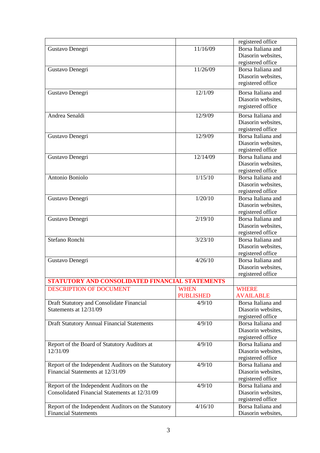|                                                     |                  | registered office                       |
|-----------------------------------------------------|------------------|-----------------------------------------|
| Gustavo Denegri                                     | 11/16/09         | Borsa Italiana and                      |
|                                                     |                  | Diasorin websites,                      |
|                                                     |                  | registered office                       |
| Gustavo Denegri                                     | 11/26/09         | Borsa Italiana and                      |
|                                                     |                  | Diasorin websites,                      |
|                                                     |                  | registered office                       |
| Gustavo Denegri                                     | 12/1/09          | Borsa Italiana and                      |
|                                                     |                  | Diasorin websites,                      |
|                                                     |                  | registered office                       |
|                                                     |                  |                                         |
| Andrea Senaldi                                      | 12/9/09          | Borsa Italiana and                      |
|                                                     |                  | Diasorin websites,                      |
|                                                     | 12/9/09          | registered office<br>Borsa Italiana and |
| Gustavo Denegri                                     |                  |                                         |
|                                                     |                  | Diasorin websites,                      |
| Gustavo Denegri                                     | 12/14/09         | registered office<br>Borsa Italiana and |
|                                                     |                  | Diasorin websites,                      |
|                                                     |                  | registered office                       |
| Antonio Boniolo                                     | 1/15/10          | Borsa Italiana and                      |
|                                                     |                  | Diasorin websites,                      |
|                                                     |                  | registered office                       |
| Gustavo Denegri                                     | 1/20/10          | Borsa Italiana and                      |
|                                                     |                  | Diasorin websites,                      |
|                                                     |                  | registered office                       |
| Gustavo Denegri                                     | 2/19/10          | Borsa Italiana and                      |
|                                                     |                  | Diasorin websites,                      |
|                                                     |                  | registered office                       |
| Stefano Ronchi                                      | 3/23/10          | Borsa Italiana and                      |
|                                                     |                  | Diasorin websites,                      |
|                                                     |                  | registered office                       |
| Gustavo Denegri                                     | 4/26/10          | Borsa Italiana and                      |
|                                                     |                  | Diasorin websites,                      |
|                                                     |                  | registered office                       |
| STATUTORY AND CONSOLIDATED FINANCIAL STATEMENTS     |                  |                                         |
| <b>DESCRIPTION OF DOCUMENT</b>                      | <b>WHEN</b>      | <b>WHERE</b>                            |
|                                                     | <b>PUBLISHED</b> | <b>AVAILABLE</b>                        |
| Draft Statutory and Consolidate Financial           | 4/9/10           | Borsa Italiana and                      |
| Statements at 12/31/09                              |                  | Diasorin websites,                      |
|                                                     |                  | registered office                       |
| <b>Draft Statutory Annual Financial Statements</b>  | 4/9/10           | Borsa Italiana and                      |
|                                                     |                  | Diasorin websites,                      |
|                                                     |                  | registered office                       |
| Report of the Board of Statutory Auditors at        | 4/9/10           | Borsa Italiana and                      |
| 12/31/09                                            |                  | Diasorin websites,                      |
|                                                     |                  | registered office                       |
| Report of the Independent Auditors on the Statutory | 4/9/10           | Borsa Italiana and                      |
| Financial Statements at 12/31/09                    |                  | Diasorin websites,                      |
|                                                     |                  | registered office                       |
| Report of the Independent Auditors on the           | 4/9/10           | Borsa Italiana and                      |
| Consolidated Financial Statements at 12/31/09       |                  | Diasorin websites,                      |
|                                                     |                  | registered office                       |
| Report of the Independent Auditors on the Statutory | 4/16/10          | Borsa Italiana and                      |
| <b>Financial Statements</b>                         |                  | Diasorin websites,                      |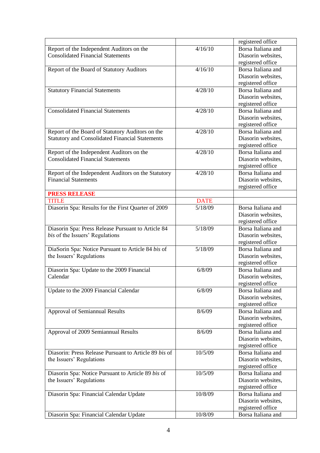|                                                        |             | registered office                       |
|--------------------------------------------------------|-------------|-----------------------------------------|
| Report of the Independent Auditors on the              | 4/16/10     | Borsa Italiana and                      |
| <b>Consolidated Financial Statements</b>               |             | Diasorin websites,                      |
|                                                        |             | registered office                       |
| Report of the Board of Statutory Auditors              | 4/16/10     | Borsa Italiana and                      |
|                                                        |             | Diasorin websites,                      |
|                                                        |             | registered office                       |
| <b>Statutory Financial Statements</b>                  | 4/28/10     | Borsa Italiana and                      |
|                                                        |             | Diasorin websites,                      |
|                                                        |             | registered office                       |
| <b>Consolidated Financial Statements</b>               | 4/28/10     | Borsa Italiana and                      |
|                                                        |             | Diasorin websites,                      |
|                                                        |             | registered office                       |
| Report of the Board of Statutory Auditors on the       | 4/28/10     | Borsa Italiana and                      |
| <b>Statutory and Consolidated Financial Statements</b> |             | Diasorin websites,                      |
|                                                        |             | registered office                       |
| Report of the Independent Auditors on the              | 4/28/10     | Borsa Italiana and                      |
| <b>Consolidated Financial Statements</b>               |             | Diasorin websites,                      |
|                                                        |             | registered office                       |
| Report of the Independent Auditors on the Statutory    | 4/28/10     | Borsa Italiana and                      |
| <b>Financial Statements</b>                            |             | Diasorin websites,                      |
|                                                        |             | registered office                       |
| <b>PRESS RELEASE</b>                                   |             |                                         |
| <b>TITLE</b>                                           | <b>DATE</b> |                                         |
| Diasorin Spa: Results for the First Quarter of 2009    | 5/18/09     | Borsa Italiana and                      |
|                                                        |             | Diasorin websites,                      |
|                                                        |             | registered office                       |
| Diasorin Spa: Press Release Pursuant to Article 84     | 5/18/09     | Borsa Italiana and                      |
| bis of the Issuers' Regulations                        |             | Diasorin websites,                      |
|                                                        |             | registered office                       |
| DiaSorin Spa: Notice Pursuant to Article 84 bis of     | 5/18/09     | Borsa Italiana and                      |
| the Issuers' Regulations                               |             | Diasorin websites,                      |
|                                                        |             | registered office                       |
| Diasorin Spa: Update to the 2009 Financial             | 6/8/09      | Borsa Italiana and                      |
| Calendar                                               |             | Diasorin websites,                      |
|                                                        |             | registered office                       |
| Update to the 2009 Financial Calendar                  | 6/8/09      | Borsa Italiana and                      |
|                                                        |             | Diasorin websites,                      |
|                                                        |             | registered office                       |
| Approval of Semiannual Results                         | 8/6/09      | Borsa Italiana and                      |
|                                                        |             | Diasorin websites,                      |
|                                                        |             | registered office                       |
| Approval of 2009 Semiannual Results                    | 8/6/09      | Borsa Italiana and                      |
|                                                        |             |                                         |
|                                                        |             | Diasorin websites,<br>registered office |
| Diasorin: Press Release Pursuant to Article 89 bis of  | 10/5/09     | Borsa Italiana and                      |
|                                                        |             |                                         |
| the Issuers' Regulations                               |             | Diasorin websites,                      |
|                                                        | 10/5/09     | registered office<br>Borsa Italiana and |
| Diasorin Spa: Notice Pursuant to Article 89 bis of     |             |                                         |
| the Issuers' Regulations                               |             | Diasorin websites,                      |
|                                                        |             | registered office                       |
| Diasorin Spa: Financial Calendar Update                | 10/8/09     | Borsa Italiana and                      |
|                                                        |             | Diasorin websites,                      |
|                                                        |             | registered office                       |
| Diasorin Spa: Financial Calendar Update                | 10/8/09     | Borsa Italiana and                      |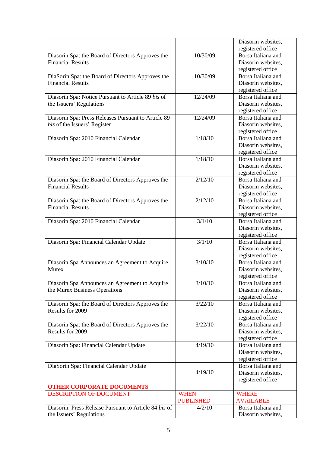|                                                                               |                  | Diasorin websites, |
|-------------------------------------------------------------------------------|------------------|--------------------|
|                                                                               |                  | registered office  |
| Diasorin Spa: the Board of Directors Approves the                             | 10/30/09         | Borsa Italiana and |
| <b>Financial Results</b>                                                      |                  | Diasorin websites, |
|                                                                               |                  | registered office  |
| DiaSorin Spa: the Board of Directors Approves the                             | 10/30/09         | Borsa Italiana and |
| <b>Financial Results</b>                                                      |                  | Diasorin websites, |
|                                                                               |                  | registered office  |
| Diasorin Spa: Notice Pursuant to Article 89 bis of                            | 12/24/09         | Borsa Italiana and |
| the Issuers' Regulations                                                      |                  | Diasorin websites, |
|                                                                               |                  | registered office  |
| Diasorin Spa: Press Releases Pursuant to Article 89                           | 12/24/09         | Borsa Italiana and |
| bis of the Issuers' Register                                                  |                  | Diasorin websites, |
|                                                                               |                  | registered office  |
| Diasorin Spa: 2010 Financial Calendar                                         | 1/18/10          | Borsa Italiana and |
|                                                                               |                  | Diasorin websites, |
|                                                                               |                  | registered office  |
| Diasorin Spa: 2010 Financial Calendar                                         | 1/18/10          | Borsa Italiana and |
|                                                                               |                  | Diasorin websites, |
|                                                                               |                  | registered office  |
| Diasorin Spa: the Board of Directors Approves the                             | 2/12/10          | Borsa Italiana and |
| <b>Financial Results</b>                                                      |                  | Diasorin websites, |
|                                                                               |                  | registered office  |
|                                                                               | 2/12/10          | Borsa Italiana and |
| Diasorin Spa: the Board of Directors Approves the<br><b>Financial Results</b> |                  |                    |
|                                                                               |                  | Diasorin websites, |
|                                                                               |                  | registered office  |
| Diasorin Spa: 2010 Financial Calendar                                         | 3/1/10           | Borsa Italiana and |
|                                                                               |                  | Diasorin websites, |
|                                                                               |                  | registered office  |
| Diasorin Spa: Financial Calendar Update                                       | 3/1/10           | Borsa Italiana and |
|                                                                               |                  | Diasorin websites, |
|                                                                               |                  | registered office  |
| Diasorin Spa Announces an Agreement to Acquire                                | 3/10/10          | Borsa Italiana and |
| Murex                                                                         |                  | Diasorin websites, |
|                                                                               |                  | registered office  |
| Diasorin Spa Announces an Agreement to Acquire                                | 3/10/10          | Borsa Italiana and |
| the Murex Business Operations                                                 |                  | Diasorin websites, |
|                                                                               |                  | registered office  |
| Diasorin Spa: the Board of Directors Approves the                             | 3/22/10          | Borsa Italiana and |
| Results for 2009                                                              |                  | Diasorin websites, |
|                                                                               |                  | registered office  |
| Diasorin Spa: the Board of Directors Approves the                             | 3/22/10          | Borsa Italiana and |
| Results for 2009                                                              |                  | Diasorin websites, |
|                                                                               |                  | registered office  |
| Diasorin Spa: Financial Calendar Update                                       | 4/19/10          | Borsa Italiana and |
|                                                                               |                  | Diasorin websites, |
|                                                                               |                  | registered office  |
| DiaSorin Spa: Financial Calendar Update                                       |                  | Borsa Italiana and |
|                                                                               | 4/19/10          | Diasorin websites, |
|                                                                               |                  | registered office  |
| <b>OTHER CORPORATE DOCUMENTS</b>                                              |                  |                    |
| <b>DESCRIPTION OF DOCUMENT</b>                                                | <b>WHEN</b>      | <b>WHERE</b>       |
|                                                                               | <b>PUBLISHED</b> | <b>AVAILABLE</b>   |
| Diasorin: Press Release Pursuant to Article 84 bis of                         | 4/2/10           | Borsa Italiana and |
| the Issuers' Regulations                                                      |                  | Diasorin websites, |